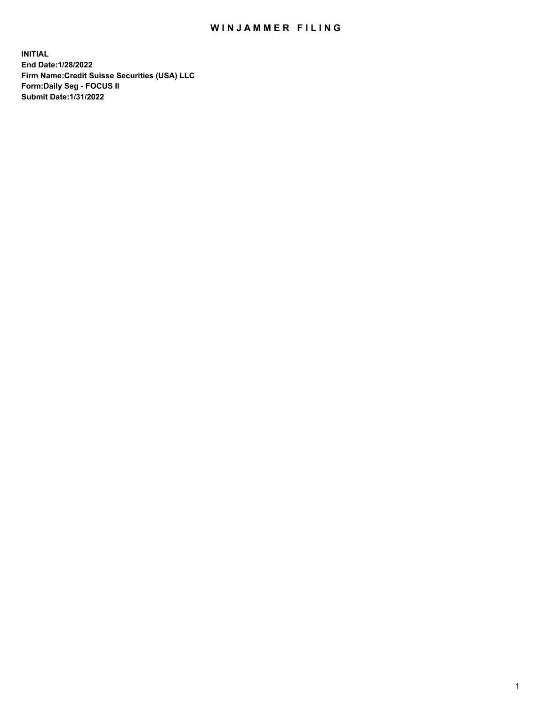## WIN JAMMER FILING

**INITIAL End Date:1/28/2022 Firm Name:Credit Suisse Securities (USA) LLC Form:Daily Seg - FOCUS II Submit Date:1/31/2022**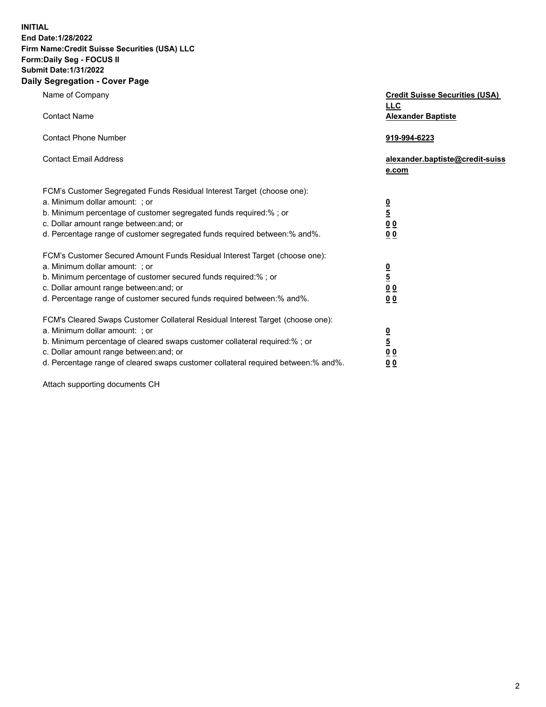**INITIAL End Date:1/28/2022** 

## **Firm Name:Credit Suisse Securities (USA) LLC Form:Daily Seg - FOCUS II Submit Date:1/31/2022**

## **Daily Segregation - Cover Page**

| Name of Company                                                                                                                                                                                                                                                                                                                | <b>Credit Suisse Securities (USA)</b><br><b>LLC</b>                |
|--------------------------------------------------------------------------------------------------------------------------------------------------------------------------------------------------------------------------------------------------------------------------------------------------------------------------------|--------------------------------------------------------------------|
| <b>Contact Name</b>                                                                                                                                                                                                                                                                                                            | <b>Alexander Baptiste</b>                                          |
| <b>Contact Phone Number</b>                                                                                                                                                                                                                                                                                                    | 919-994-6223                                                       |
| <b>Contact Email Address</b>                                                                                                                                                                                                                                                                                                   | alexander.baptiste@credit-suiss<br>e.com                           |
| FCM's Customer Segregated Funds Residual Interest Target (choose one):<br>a. Minimum dollar amount: ; or<br>b. Minimum percentage of customer segregated funds required:% ; or<br>c. Dollar amount range between: and; or<br>d. Percentage range of customer segregated funds required between:% and%.                         | $\frac{0}{\frac{5}{0}}$<br>0 <sub>0</sub>                          |
| FCM's Customer Secured Amount Funds Residual Interest Target (choose one):<br>a. Minimum dollar amount: ; or<br>b. Minimum percentage of customer secured funds required:%; or<br>c. Dollar amount range between: and; or<br>d. Percentage range of customer secured funds required between:% and%.                            | $\frac{0}{5}$<br>$\underline{0}$ $\underline{0}$<br>0 <sub>0</sub> |
| FCM's Cleared Swaps Customer Collateral Residual Interest Target (choose one):<br>a. Minimum dollar amount: ; or<br>b. Minimum percentage of cleared swaps customer collateral required:% ; or<br>c. Dollar amount range between: and; or<br>d. Percentage range of cleared swaps customer collateral required between:% and%. | $\frac{0}{5}$<br>0 <sub>0</sub><br>0 <sub>0</sub>                  |

Attach supporting documents CH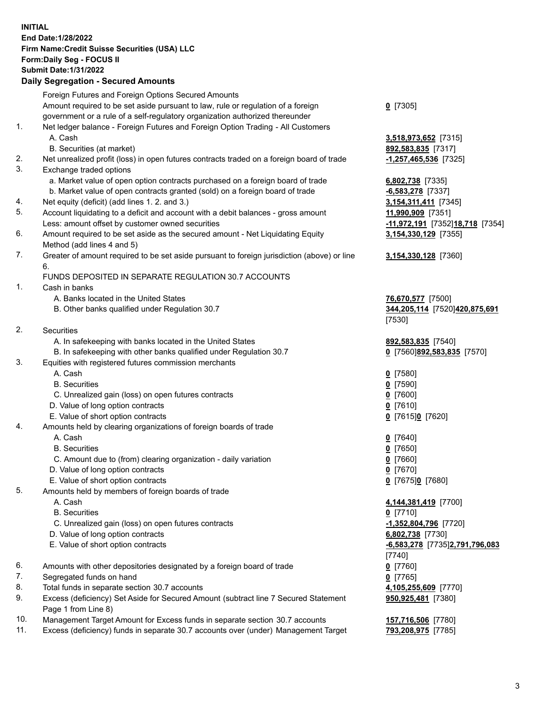**INITIAL End Date:1/28/2022 Firm Name:Credit Suisse Securities (USA) LLC Form:Daily Seg - FOCUS II Submit Date:1/31/2022** 

## **Daily Segregation - Secured Amounts**

|     | Foreign Futures and Foreign Options Secured Amounts                                         |                                  |
|-----|---------------------------------------------------------------------------------------------|----------------------------------|
|     | Amount required to be set aside pursuant to law, rule or regulation of a foreign            | $0$ [7305]                       |
|     | government or a rule of a self-regulatory organization authorized thereunder                |                                  |
| 1.  | Net ledger balance - Foreign Futures and Foreign Option Trading - All Customers             |                                  |
|     | A. Cash                                                                                     | 3,518,973,652 [7315]             |
|     | B. Securities (at market)                                                                   | 892,583,835 [7317]               |
| 2.  | Net unrealized profit (loss) in open futures contracts traded on a foreign board of trade   | $-1,257,465,536$ [7325]          |
| 3.  | Exchange traded options                                                                     |                                  |
|     | a. Market value of open option contracts purchased on a foreign board of trade              | 6,802,738 [7335]                 |
|     | b. Market value of open contracts granted (sold) on a foreign board of trade                | $-6,583,278$ [7337]              |
| 4.  | Net equity (deficit) (add lines 1. 2. and 3.)                                               | 3,154,311,411 [7345]             |
| 5.  | Account liquidating to a deficit and account with a debit balances - gross amount           | 11,990,909 [7351]                |
|     | Less: amount offset by customer owned securities                                            | -11,972,191 [7352] 18,718 [7354] |
| 6.  | Amount required to be set aside as the secured amount - Net Liquidating Equity              | 3,154,330,129 [7355]             |
|     | Method (add lines 4 and 5)                                                                  |                                  |
| 7.  | Greater of amount required to be set aside pursuant to foreign jurisdiction (above) or line | 3,154,330,128 [7360]             |
|     | 6.                                                                                          |                                  |
|     | FUNDS DEPOSITED IN SEPARATE REGULATION 30.7 ACCOUNTS                                        |                                  |
| 1.  | Cash in banks                                                                               |                                  |
|     | A. Banks located in the United States                                                       | 76,670,577 [7500]                |
|     | B. Other banks qualified under Regulation 30.7                                              | 344,205,114 [7520]420,875,691    |
|     |                                                                                             | [7530]                           |
| 2.  | Securities                                                                                  |                                  |
|     | A. In safekeeping with banks located in the United States                                   | 892,583,835 [7540]               |
|     | B. In safekeeping with other banks qualified under Regulation 30.7                          | 0 [7560]892,583,835 [7570]       |
| 3.  | Equities with registered futures commission merchants                                       |                                  |
|     | A. Cash                                                                                     | $0$ [7580]                       |
|     | <b>B.</b> Securities                                                                        | $0$ [7590]                       |
|     | C. Unrealized gain (loss) on open futures contracts                                         | $0$ [7600]                       |
|     | D. Value of long option contracts                                                           | $0$ [7610]                       |
|     | E. Value of short option contracts                                                          | 0 [7615]0 [7620]                 |
|     |                                                                                             |                                  |
| 4.  | Amounts held by clearing organizations of foreign boards of trade                           |                                  |
|     | A. Cash                                                                                     | $0$ [7640]                       |
|     | <b>B.</b> Securities                                                                        | $0$ [7650]                       |
|     | C. Amount due to (from) clearing organization - daily variation                             | $0$ [7660]                       |
|     | D. Value of long option contracts                                                           | $0$ [7670]                       |
|     | E. Value of short option contracts                                                          | 0 [7675]0 [7680]                 |
| 5.  | Amounts held by members of foreign boards of trade                                          |                                  |
|     | A. Cash                                                                                     | 4,144,381,419 [7700]             |
|     | <b>B.</b> Securities                                                                        | $0$ [7710]                       |
|     | C. Unrealized gain (loss) on open futures contracts                                         | -1,352,804,796 [7720]            |
|     | D. Value of long option contracts                                                           | 6,802,738 [7730]                 |
|     | E. Value of short option contracts                                                          | -6,583,278 [7735]2,791,796,083   |
|     |                                                                                             | [7740]                           |
| 6.  | Amounts with other depositories designated by a foreign board of trade                      | $0$ [7760]                       |
| 7.  | Segregated funds on hand                                                                    | $0$ [7765]                       |
| 8.  | Total funds in separate section 30.7 accounts                                               | 4,105,255,609 [7770]             |
| 9.  | Excess (deficiency) Set Aside for Secured Amount (subtract line 7 Secured Statement         | 950,925,481 [7380]               |
|     | Page 1 from Line 8)                                                                         |                                  |
| 10. | Management Target Amount for Excess funds in separate section 30.7 accounts                 | 157,716,506 [7780]               |
| 11. | Excess (deficiency) funds in separate 30.7 accounts over (under) Management Target          | 793,208,975 [7785]               |
|     |                                                                                             |                                  |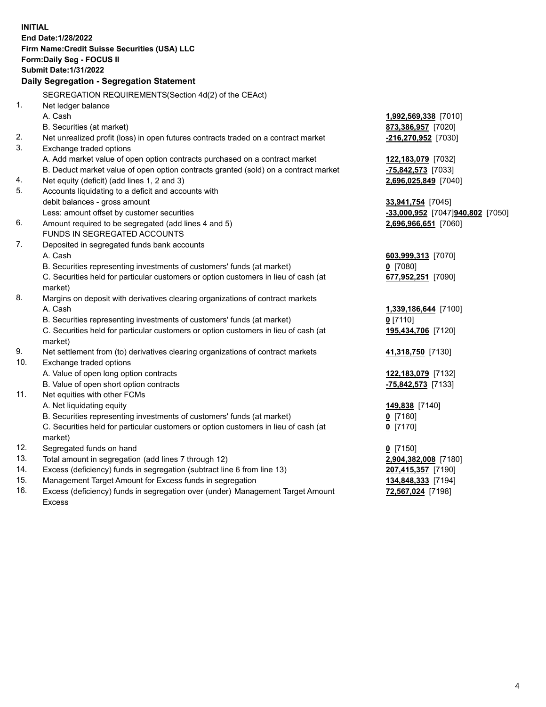15. Management Target Amount for Excess funds in segregation **134,848,333** [7194] 16. Excess (deficiency) funds in segregation over (under) Management Target Amount **72,567,024** [7198] **INITIAL End Date:1/28/2022 Firm Name:Credit Suisse Securities (USA) LLC Form:Daily Seg - FOCUS II Submit Date:1/31/2022 Daily Segregation - Segregation Statement**  SEGREGATION REQUIREMENTS(Section 4d(2) of the CEAct) 1. Net ledger balance A. Cash **1,992,569,338** [7010] B. Securities (at market) **873,386,957** [7020] 2. Net unrealized profit (loss) in open futures contracts traded on a contract market **-216,270,952** [7030] 3. Exchange traded options A. Add market value of open option contracts purchased on a contract market **122,183,079** [7032] B. Deduct market value of open option contracts granted (sold) on a contract market **-75,842,573** [7033] 4. Net equity (deficit) (add lines 1, 2 and 3) **2,696,025,849** [7040] 5. Accounts liquidating to a deficit and accounts with debit balances - gross amount **33,941,754** [7045] Less: amount offset by customer securities **-33,000,952** [7047] **940,802** [7050] 6. Amount required to be segregated (add lines 4 and 5) **2,696,966,651** [7060] FUNDS IN SEGREGATED ACCOUNTS 7. Deposited in segregated funds bank accounts A. Cash **603,999,313** [7070] B. Securities representing investments of customers' funds (at market) **0** [7080] C. Securities held for particular customers or option customers in lieu of cash (at **677,952,251** [7090] market) 8. Margins on deposit with derivatives clearing organizations of contract markets A. Cash **1,339,186,644** [7100] B. Securities representing investments of customers' funds (at market) **0** [7110] C. Securities held for particular customers or option customers in lieu of cash (at **195,434,706** [7120] market) 9. Net settlement from (to) derivatives clearing organizations of contract markets **41,318,750** [7130] 10. Exchange traded options A. Value of open long option contracts **122,183,079** [7132] B. Value of open short option contracts **-75,842,573** [7133] 11. Net equities with other FCMs A. Net liquidating equity **149,838** [7140] B. Securities representing investments of customers' funds (at market) **0** [7160] C. Securities held for particular customers or option customers in lieu of cash (at **0** [7170] market) 12. Segregated funds on hand **0** [7150] 13. Total amount in segregation (add lines 7 through 12) **2,904,382,008** [7180] 14. Excess (deficiency) funds in segregation (subtract line 6 from line 13) **207,415,357** [7190]

Excess